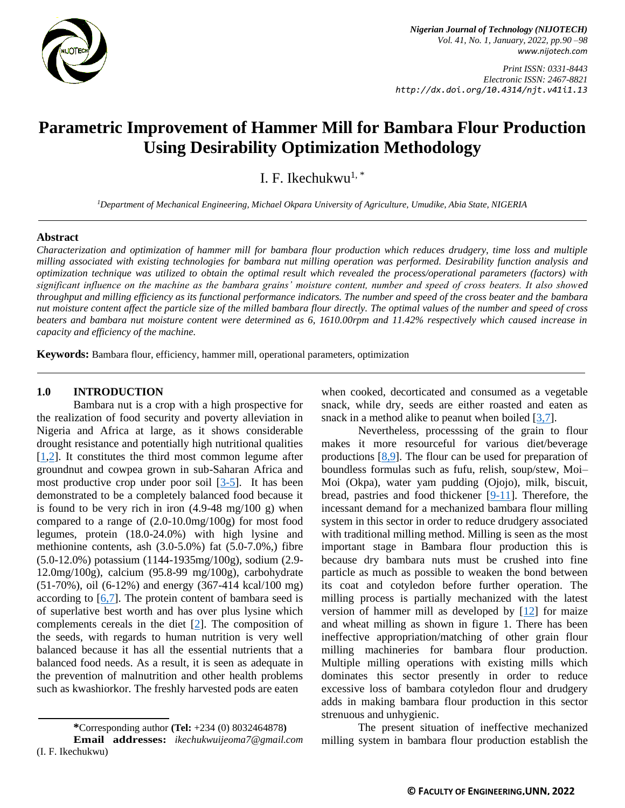

*Print ISSN: 0331-8443 Electronic ISSN: 2467-8821 http://dx.doi.org/10.4314/njt.v41i1.13*

# **Parametric Improvement of Hammer Mill for Bambara Flour Production Using Desirability Optimization Methodology**

I. F. Ikechukwu<sup>1,\*</sup>

*<sup>1</sup>Department of Mechanical Engineering, Michael Okpara University of Agriculture, Umudike, Abia State, NIGERIA*

### **Abstract**

*Characterization and optimization of hammer mill for bambara flour production which reduces drudgery, time loss and multiple milling associated with existing technologies for bambara nut milling operation was performed. Desirability function analysis and optimization technique was utilized to obtain the optimal result which revealed the process/operational parameters (factors) with significant influence on the machine as the bambara grains' moisture content, number and speed of cross beaters. It also showed throughput and milling efficiency as its functional performance indicators. The number and speed of the cross beater and the bambara nut moisture content affect the particle size of the milled bambara flour directly. The optimal values of the number and speed of cross beaters and bambara nut moisture content were determined as 6, 1610.00rpm and 11.42% respectively which caused increase in capacity and efficiency of the machine.*

**Keywords:** Bambara flour, efficiency, hammer mill, operational parameters, optimization

### **1.0 INTRODUCTION**

Bambara nut is a crop with a high prospective for the realization of food security and poverty alleviation in Nigeria and Africa at large, as it shows considerable drought resistance and potentially high nutritional qualities  $[1,2]$  $[1,2]$ . It constitutes the third most common legume after groundnut and cowpea grown in sub-Saharan Africa and most productive crop under poor soil  $[3-5]$  $[3-5]$ . It has been demonstrated to be a completely balanced food because it is found to be very rich in iron  $(4.9-48 \text{ mg}/100 \text{ g})$  when compared to a range of (2.0-10.0mg/100g) for most food legumes, protein (18.0-24.0%) with high lysine and methionine contents, ash  $(3.0-5.0\%)$  fat  $(5.0-7.0\%)$  fibre (5.0-12.0%) potassium (1144-1935mg/100g), sodium (2.9- 12.0mg/100g), calcium (95.8-99 mg/100g), carbohydrate (51-70%), oil (6-12%) and energy (367-414 kcal/100 mg) according to  $[6,7]$  $[6,7]$ . The protein content of bambara seed is of superlative best worth and has over plus lysine which complements cereals in the diet [\[2\]](#page-7-1). The composition of the seeds, with regards to human nutrition is very well balanced because it has all the essential nutrients that a balanced food needs. As a result, it is seen as adequate in the prevention of malnutrition and other health problems such as kwashiorkor. The freshly harvested pods are eaten

when cooked, decorticated and consumed as a vegetable snack, while dry, seeds are either roasted and eaten as snack in a method alike to peanut when boiled [\[3](#page-7-2)[,7\]](#page-7-4).

Nevertheless, processsing of the grain to flour makes it more resourceful for various diet/beverage productions [\[8,](#page-7-5)[9\]](#page-7-6). The flour can be used for preparation of boundless formulas such as fufu, relish, soup/stew, Moi– Moi (Okpa), water yam pudding (Ojojo), milk, biscuit, bread, pastries and food thickener [\[9-11\]](#page-7-6). Therefore, the incessant demand for a mechanized bambara flour milling system in this sector in order to reduce drudgery associated with traditional milling method. Milling is seen as the most important stage in Bambara flour production this is because dry bambara nuts must be crushed into fine particle as much as possible to weaken the bond between its coat and cotyledon before further operation. The milling process is partially mechanized with the latest version of hammer mill as developed by  $[12]$  for maize and wheat milling as shown in figure 1. There has been ineffective appropriation/matching of other grain flour milling machineries for bambara flour production. Multiple milling operations with existing mills which dominates this sector presently in order to reduce excessive loss of bambara cotyledon flour and drudgery adds in making bambara flour production in this sector strenuous and unhygienic.

The present situation of ineffective mechanized milling system in bambara flour production establish the

**<sup>\*</sup>**Corresponding author **[\(Te](mailto:samnnaemeka.ugwu@unn.edu.ng)l:** +234 (0) 8032464878**)**

**Email addresses:** *ikechukwuijeoma7@gmail.com*  (I. F. Ikechukwu)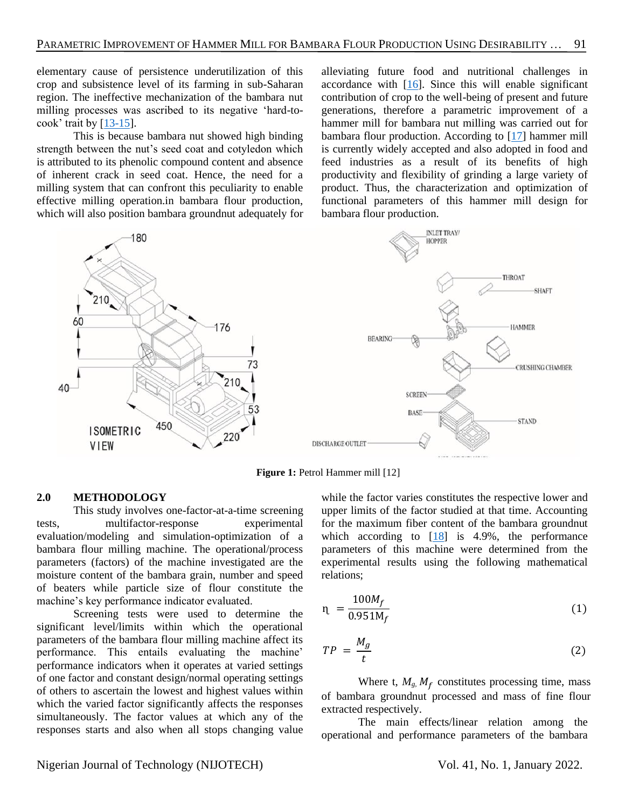elementary cause of persistence underutilization of this crop and subsistence level of its farming in sub-Saharan region. The ineffective mechanization of the bambara nut milling processes was ascribed to its negative 'hard-tocook' trait by  $[13-15]$ .

This is because bambara nut showed high binding strength between the nut's seed coat and cotyledon which is attributed to its phenolic compound content and absence of inherent crack in seed coat. Hence, the need for a milling system that can confront this peculiarity to enable effective milling operation.in bambara flour production, which will also position bambara groundnut adequately for

alleviating future food and nutritional challenges in accordance with  $[16]$ . Since this will enable significant contribution of crop to the well-being of present and future generations, therefore a parametric improvement of a hammer mill for bambara nut milling was carried out for bambara flour production. According to [\[17\]](#page-7-10) hammer mill is currently widely accepted and also adopted in food and feed industries as a result of its benefits of high productivity and flexibility of grinding a large variety of product. Thus, the characterization and optimization of functional parameters of this hammer mill design for bambara flour production.



**Figure 1: Petrol Hammer mill [12]** 

### **2.0 METHODOLOGY**

This study involves one-factor-at-a-time screening tests, multifactor-response experimental evaluation/modeling and simulation-optimization of a bambara flour milling machine. The operational/process parameters (factors) of the machine investigated are the moisture content of the bambara grain, number and speed of beaters while particle size of flour constitute the machine's key performance indicator evaluated.

Screening tests were used to determine the significant level/limits within which the operational parameters of the bambara flour milling machine affect its performance. This entails evaluating the machine' performance indicators when it operates at varied settings of one factor and constant design/normal operating settings of others to ascertain the lowest and highest values within which the varied factor significantly affects the responses simultaneously. The factor values at which any of the responses starts and also when all stops changing value

while the factor varies constitutes the respective lower and upper limits of the factor studied at that time. Accounting for the maximum fiber content of the bambara groundnut which according to [\[18\]](#page-7-11) is 4.9%, the performance parameters of this machine were determined from the experimental results using the following mathematical relations;

$$
n = \frac{100M_f}{0.951M_f}
$$
 (1)

$$
TP = \frac{M_g}{t} \tag{2}
$$

Where t,  $M_g$ ,  $M_f$  constitutes processing time, mass of bambara groundnut processed and mass of fine flour extracted respectively.

The main effects/linear relation among the operational and performance parameters of the bambara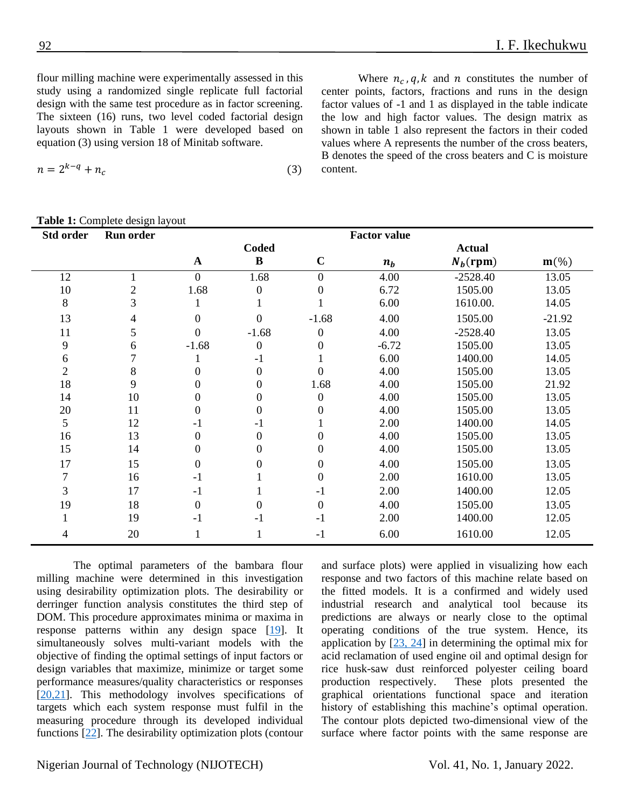flour milling machine were experimentally assessed in this study using a randomized single replicate full factorial design with the same test procedure as in factor screening. The sixteen (16) runs, two level coded factorial design layouts shown in Table 1 were developed based on equation (3) using version 18 of Minitab software.

$$
n = 2^{k-q} + n_c \tag{3}
$$

## **Table 1:** Complete design layout

Where  $n_c$ , q, k and n constitutes the number of center points, factors, fractions and runs in the design factor values of -1 and 1 as displayed in the table indicate the low and high factor values. The design matrix as shown in table 1 also represent the factors in their coded values where A represents the number of the cross beaters, B denotes the speed of the cross beaters and C is moisture content.

| <b>Table 1:</b> Complete design layout |                  |                  |                  |                  |                     |               |          |  |
|----------------------------------------|------------------|------------------|------------------|------------------|---------------------|---------------|----------|--|
| Std order                              | <b>Run order</b> |                  |                  |                  | <b>Factor value</b> |               |          |  |
|                                        |                  |                  | <b>Coded</b>     |                  |                     | <b>Actual</b> |          |  |
|                                        |                  | $\mathbf A$      | $\bf{B}$         | $\mathbf C$      | $n_b$               | $N_h$ (rpm)   | $m$ (%)  |  |
| 12                                     |                  | $\overline{0}$   | 1.68             | $\boldsymbol{0}$ | 4.00                | $-2528.40$    | 13.05    |  |
| 10                                     | $\overline{c}$   | 1.68             | $\boldsymbol{0}$ | $\boldsymbol{0}$ | 6.72                | 1505.00       | 13.05    |  |
| 8                                      | 3                | 1                | 1                |                  | 6.00                | 1610.00.      | 14.05    |  |
| 13                                     | 4                | $\boldsymbol{0}$ | $\overline{0}$   | $-1.68$          | 4.00                | 1505.00       | $-21.92$ |  |
| 11                                     | 5                | $\overline{0}$   | $-1.68$          | $\boldsymbol{0}$ | 4.00                | $-2528.40$    | 13.05    |  |
| 9                                      | 6                | $-1.68$          | $\boldsymbol{0}$ | $\boldsymbol{0}$ | $-6.72$             | 1505.00       | 13.05    |  |
| $\sqrt{6}$                             |                  |                  | $-1$             |                  | 6.00                | 1400.00       | 14.05    |  |
| $\overline{2}$                         | 8                | $\boldsymbol{0}$ | $\boldsymbol{0}$ | $\overline{0}$   | 4.00                | 1505.00       | 13.05    |  |
| 18                                     | 9                | $\boldsymbol{0}$ | $\boldsymbol{0}$ | 1.68             | 4.00                | 1505.00       | 21.92    |  |
| 14                                     | 10               | $\boldsymbol{0}$ | $\boldsymbol{0}$ | $\boldsymbol{0}$ | 4.00                | 1505.00       | 13.05    |  |
| 20                                     | 11               | $\boldsymbol{0}$ | $\boldsymbol{0}$ | $\boldsymbol{0}$ | 4.00                | 1505.00       | 13.05    |  |
| 5                                      | 12               | $-1$             | $-1$             |                  | 2.00                | 1400.00       | 14.05    |  |
| 16                                     | 13               | $\boldsymbol{0}$ | $\boldsymbol{0}$ | $\boldsymbol{0}$ | 4.00                | 1505.00       | 13.05    |  |
| 15                                     | 14               | $\boldsymbol{0}$ | $\boldsymbol{0}$ | $\mathbf{0}$     | 4.00                | 1505.00       | 13.05    |  |
| 17                                     | 15               | $\boldsymbol{0}$ | $\boldsymbol{0}$ | $\boldsymbol{0}$ | 4.00                | 1505.00       | 13.05    |  |
| $\boldsymbol{7}$                       | 16               | $-1$             |                  | $\boldsymbol{0}$ | 2.00                | 1610.00       | 13.05    |  |
| $\mathfrak{Z}$                         | 17               | $-1$             | $\mathbf{1}$     | $-1$             | 2.00                | 1400.00       | 12.05    |  |
| 19                                     | 18               | $\boldsymbol{0}$ | $\boldsymbol{0}$ | $\boldsymbol{0}$ | 4.00                | 1505.00       | 13.05    |  |
| $\mathbf{1}$                           | 19               | $-1$             | $-1$             | $-1$             | 2.00                | 1400.00       | 12.05    |  |
| 4                                      | 20               | $\mathbf{1}$     | 1                | $-1$             | 6.00                | 1610.00       | 12.05    |  |

The optimal parameters of the bambara flour milling machine were determined in this investigation using desirability optimization plots. The desirability or derringer function analysis constitutes the third step of DOM. This procedure approximates minima or maxima in response patterns within any design space [\[19\]](#page-7-12). It simultaneously solves multi-variant models with the objective of finding the optimal settings of input factors or design variables that maximize, minimize or target some performance measures/quality characteristics or responses [\[20,](#page-7-13)[21\]](#page-8-0). This methodology involves specifications of targets which each system response must fulfil in the measuring procedure through its developed individual functions [\[22\]](#page-8-1). The desirability optimization plots (contour

and surface plots) were applied in visualizing how each response and two factors of this machine relate based on the fitted models. It is a confirmed and widely used industrial research and analytical tool because its predictions are always or nearly close to the optimal operating conditions of the true system. Hence, its application by  $[23, 24]$  $[23, 24]$  $[23, 24]$  in determining the optimal mix for acid reclamation of used engine oil and optimal design for rice husk-saw dust reinforced polyester ceiling board production respectively. These plots presented the graphical orientations functional space and iteration history of establishing this machine's optimal operation. The contour plots depicted two-dimensional view of the surface where factor points with the same response are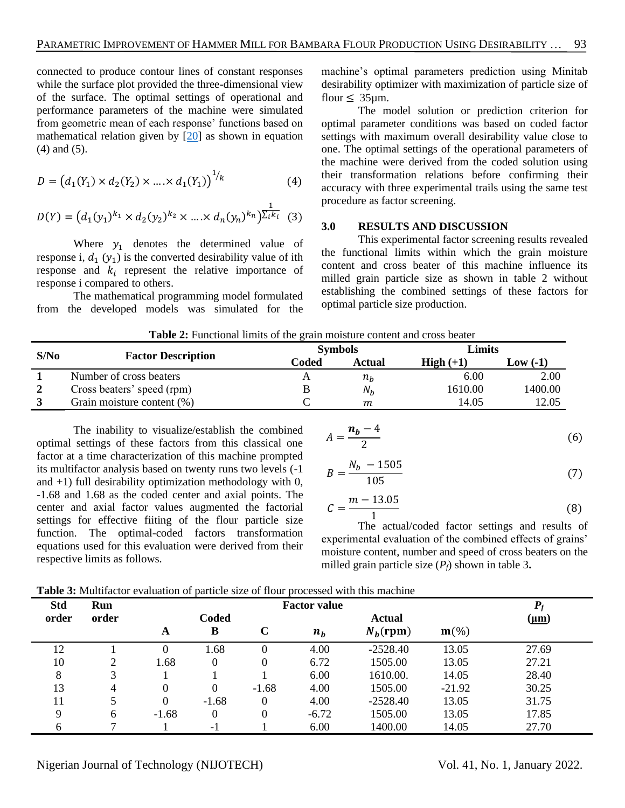connected to produce contour lines of constant responses while the surface plot provided the three-dimensional view of the surface. The optimal settings of operational and performance parameters of the machine were simulated from geometric mean of each response' functions based on mathematical relation given by [\[20\]](#page-7-13) as shown in equation (4) and (5).

$$
D = (d_1(Y_1) \times d_2(Y_2) \times \dots \times d_1(Y_1))^{1/k}
$$
 (4)

$$
D(Y) = (d_1(y_1)^{k_1} \times d_2(y_2)^{k_2} \times \dots \times d_n(y_n)^{k_n})^{\frac{1}{\sum_i k_i}} \tag{3}
$$

Where  $y_1$  denotes the determined value of response i,  $d_1(y_1)$  is the converted desirability value of ith response and  $k_i$  represent the relative importance of response i compared to others.

The mathematical programming model formulated from the developed models was simulated for the machine's optimal parameters prediction using Minitab desirability optimizer with maximization of particle size of flour  $\leq 35$ um.

The model solution or prediction criterion for optimal parameter conditions was based on coded factor settings with maximum overall desirability value close to one. The optimal settings of the operational parameters of the machine were derived from the coded solution using their transformation relations before confirming their accuracy with three experimental trails using the same test procedure as factor screening.

### **3.0 RESULTS AND DISCUSSION**

This experimental factor screening results revealed the functional limits within which the grain moisture content and cross beater of this machine influence its milled grain particle size as shown in table 2 without establishing the combined settings of these factors for optimal particle size production.

| <b>Table 2:</b> Functional limits of the grain moisture content and cross beater |                               |                          |               |             |           |  |  |
|----------------------------------------------------------------------------------|-------------------------------|--------------------------|---------------|-------------|-----------|--|--|
| S/No                                                                             |                               | Limits<br><b>Symbols</b> |               |             |           |  |  |
|                                                                                  | <b>Factor Description</b>     | Coded                    | <b>Actual</b> | $High (+1)$ | $Low(-1)$ |  |  |
|                                                                                  | Number of cross beaters       |                          | $n_h$         | 6.00        | 2.00      |  |  |
| $\overline{2}$                                                                   | Cross beaters' speed (rpm)    |                          | $N_h$         | 1610.00     | 1400.00   |  |  |
|                                                                                  | Grain moisture content $(\%)$ |                          | m             | 14.05       | 12.05     |  |  |

**Table 2:** Functional limits of the grain moisture content and cross beater

The inability to visualize/establish the combined optimal settings of these factors from this classical one factor at a time characterization of this machine prompted its multifactor analysis based on twenty runs two levels (-1 and  $+1$ ) full desirability optimization methodology with 0, -1.68 and 1.68 as the coded center and axial points. The center and axial factor values augmented the factorial settings for effective fiiting of the flour particle size function. The optimal-coded factors transformation equations used for this evaluation were derived from their respective limits as follows.

$$
A = \frac{n_b - 4}{2} \tag{6}
$$

$$
B = \frac{N_b - 1505}{105} \tag{7}
$$

$$
\mathcal{C} = \frac{m - 13.05}{1} \tag{8}
$$

The actual/coded factor settings and results of experimental evaluation of the combined effects of grains' moisture content, number and speed of cross beaters on the milled grain particle size  $(P_f)$  shown in table 3.

**Table 3:** Multifactor evaluation of particle size of flour processed with this machine

| <b>Std</b> | Run   | <b>Factor value</b> |                  |             |         |             |                    |               |
|------------|-------|---------------------|------------------|-------------|---------|-------------|--------------------|---------------|
| order      | order |                     | <b>Coded</b>     |             |         | Actual      |                    | ( <u>µm</u> ) |
|            |       | A                   | B                | $\mathbf C$ | $n_b$   | $N_b$ (rpm) | $m\left(\%\right)$ |               |
| 12         |       |                     | 1.68             |             | 4.00    | $-2528.40$  | 13.05              | 27.69         |
| 10         | ∍     | 1.68                | $\boldsymbol{0}$ | 0           | 6.72    | 1505.00     | 13.05              | 27.21         |
| 8          |       |                     |                  |             | 6.00    | 1610.00.    | 14.05              | 28.40         |
| 13         | 4     | $\Omega$            | $\theta$         | $-1.68$     | 4.00    | 1505.00     | $-21.92$           | 30.25         |
| 11         |       | $\Omega$            | $-1.68$          |             | 4.00    | $-2528.40$  | 13.05              | 31.75         |
| 9          | 6     | $-1.68$             | $\overline{0}$   | 0           | $-6.72$ | 1505.00     | 13.05              | 17.85         |
| 6          |       |                     | - 1              |             | 6.00    | 1400.00     | 14.05              | 27.70         |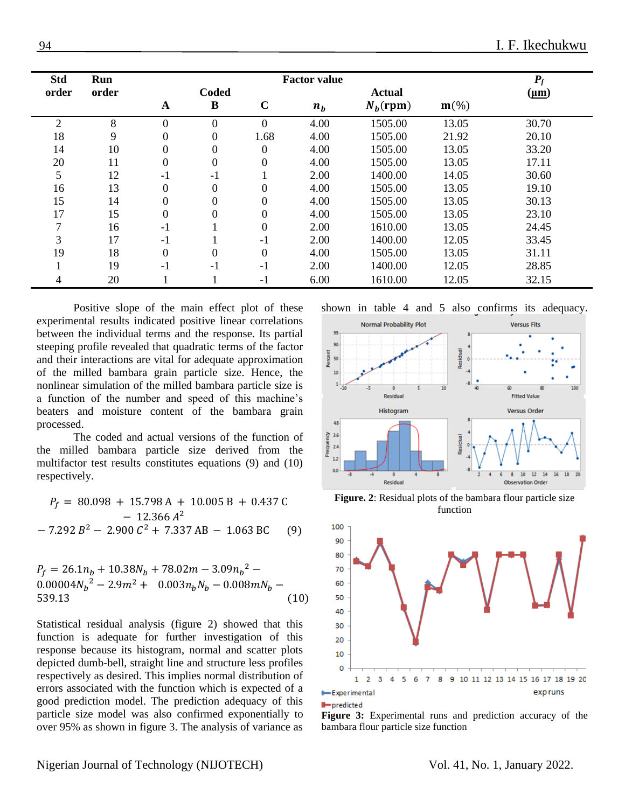| <b>Std</b> | Run   |                  |                  |                  | <b>Factor value</b> |               |                    | $P_f$     |  |
|------------|-------|------------------|------------------|------------------|---------------------|---------------|--------------------|-----------|--|
| order      | order |                  | <b>Coded</b>     |                  |                     | <b>Actual</b> |                    | $(\mu m)$ |  |
|            |       | A                | B                | $\mathbf C$      | $n_b$               | $N_h$ (rpm)   | $m\left(\%\right)$ |           |  |
| 2          | 8     | $\Omega$         | $\boldsymbol{0}$ | $\Omega$         | 4.00                | 1505.00       | 13.05              | 30.70     |  |
| 18         | 9     | 0                | $\boldsymbol{0}$ | 1.68             | 4.00                | 1505.00       | 21.92              | 20.10     |  |
| 14         | 10    | 0                | $\boldsymbol{0}$ | $\boldsymbol{0}$ | 4.00                | 1505.00       | 13.05              | 33.20     |  |
| 20         | 11    | $\boldsymbol{0}$ | $\boldsymbol{0}$ | $\boldsymbol{0}$ | 4.00                | 1505.00       | 13.05              | 17.11     |  |
| 5          | 12    | $-1$             | $-1$             |                  | 2.00                | 1400.00       | 14.05              | 30.60     |  |
| 16         | 13    | $\Omega$         | $\boldsymbol{0}$ | 0                | 4.00                | 1505.00       | 13.05              | 19.10     |  |
| 15         | 14    | $\theta$         | $\overline{0}$   | 0                | 4.00                | 1505.00       | 13.05              | 30.13     |  |
| 17         | 15    | $\theta$         | $\overline{0}$   | $\boldsymbol{0}$ | 4.00                | 1505.00       | 13.05              | 23.10     |  |
|            | 16    | $-1$             |                  | $\theta$         | 2.00                | 1610.00       | 13.05              | 24.45     |  |
| 3          | 17    | $-1$             |                  | $-1$             | 2.00                | 1400.00       | 12.05              | 33.45     |  |
| 19         | 18    | $\theta$         | $\overline{0}$   | $\theta$         | 4.00                | 1505.00       | 13.05              | 31.11     |  |
|            | 19    | $-1$             | $-1$             | $-1$             | 2.00                | 1400.00       | 12.05              | 28.85     |  |
| 4          | 20    |                  |                  | $-1$             | 6.00                | 1610.00       | 12.05              | 32.15     |  |

Positive slope of the main effect plot of these experimental results indicated positive linear correlations between the individual terms and the response. Its partial steeping profile revealed that quadratic terms of the factor and their interactions are vital for adequate approximation of the milled bambara grain particle size. Hence, the nonlinear simulation of the milled bambara particle size is a function of the number and speed of this machine's beaters and moisture content of the bambara grain processed.

The coded and actual versions of the function of the milled bambara particle size derived from the multifactor test results constitutes equations (9) and (10) respectively.

$$
P_f = 80.098 + 15.798 \text{ A} + 10.005 \text{ B} + 0.437 \text{ C}
$$
  
- 12.366 A<sup>2</sup>  
- 7.292 B<sup>2</sup> - 2.900 C<sup>2</sup> + 7.337 AB - 1.063 BC (9)

$$
P_f = 26.1n_b + 10.38N_b + 78.02m - 3.09n_b^2 - 0.00004N_b^2 - 2.9m^2 + 0.003n_bN_b - 0.008mN_b - 539.13
$$
\n(10)

Statistical residual analysis (figure 2) showed that this function is adequate for further investigation of this response because its histogram, normal and scatter plots depicted dumb-bell, straight line and structure less profiles respectively as desired. This implies normal distribution of errors associated with the function which is expected of a good prediction model. The prediction adequacy of this particle size model was also confirmed exponentially to over 95% as shown in figure 3. The analysis of variance as

shown in table 4 and 5 also confirms its adequacy.



**Figure. 2**: Residual plots of the bambara flour particle size function



**I**-predicted

Figure 3: Experimental runs and prediction accuracy of the bambara flour particle size function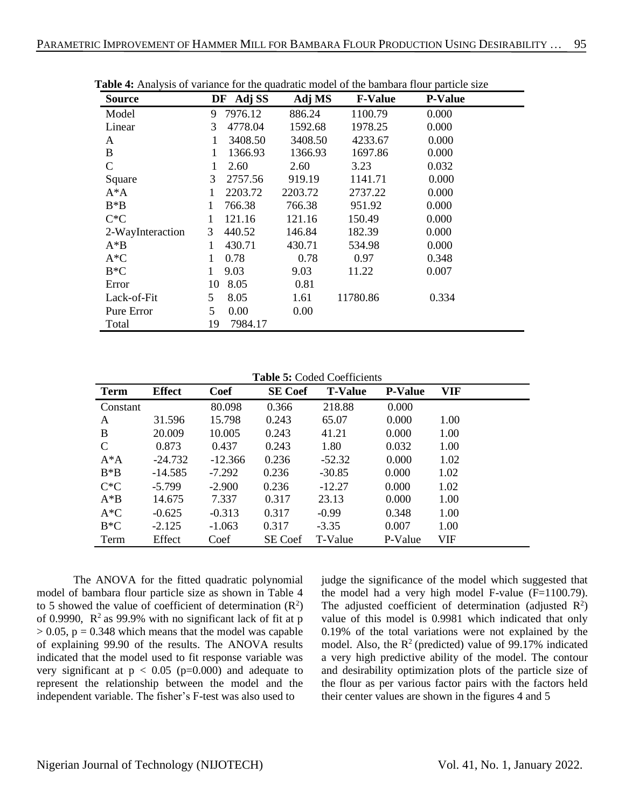| <b>Source</b>    | DF Adj SS               | Adj MS  | <b>F-Value</b> | <b>P-Value</b> |
|------------------|-------------------------|---------|----------------|----------------|
| Model            | 7976.12<br>9            | 886.24  | 1100.79        | 0.000          |
| Linear           | 4778.04<br>3            | 1592.68 | 1978.25        | 0.000          |
| A                | 3408.50<br>1            | 3408.50 | 4233.67        | 0.000          |
| B                | 1366.93<br>$\mathbf{1}$ | 1366.93 | 1697.86        | 0.000          |
| $\mathbf C$      | 2.60<br>1               | 2.60    | 3.23           | 0.032          |
| Square           | 2757.56<br>3            | 919.19  | 1141.71        | 0.000          |
| $A^*A$           | 2203.72<br>1            | 2203.72 | 2737.22        | 0.000          |
| $B^*B$           | 766.38<br>1             | 766.38  | 951.92         | 0.000          |
| $C^*C$           | 121.16<br>1             | 121.16  | 150.49         | 0.000          |
| 2-WayInteraction | 3<br>440.52             | 146.84  | 182.39         | 0.000          |
| $A^*B$           | 430.71<br>1             | 430.71  | 534.98         | 0.000          |
| $A*C$            | 1<br>0.78               | 0.78    | 0.97           | 0.348          |
| $B*C$            | 9.03<br>1               | 9.03    | 11.22          | 0.007          |
| Error            | 8.05<br>10              | 0.81    |                |                |
| Lack-of-Fit      | 5<br>8.05               | 1.61    | 11780.86       | 0.334          |
| Pure Error       | 5<br>0.00               | 0.00    |                |                |
| Total            | 19<br>7984.17           |         |                |                |

**Table 4:** Analysis of variance for the quadratic model of the bambara flour particle size

**Table 5:** Coded Coefficients

| Term     | <b>Effect</b> | <b>Coef</b> | <b>SE</b> Coef | <b>T-Value</b> | <b>P-Value</b> | VIF        |
|----------|---------------|-------------|----------------|----------------|----------------|------------|
| Constant |               | 80.098      | 0.366          | 218.88         | 0.000          |            |
| A        | 31.596        | 15.798      | 0.243          | 65.07          | 0.000          | 1.00       |
| B        | 20.009        | 10.005      | 0.243          | 41.21          | 0.000          | 1.00       |
| C        | 0.873         | 0.437       | 0.243          | 1.80           | 0.032          | 1.00       |
| $A^*A$   | $-24.732$     | $-12.366$   | 0.236          | $-52.32$       | 0.000          | 1.02       |
| $B*B$    | $-14.585$     | $-7.292$    | 0.236          | $-30.85$       | 0.000          | 1.02       |
| $C^*C$   | $-5.799$      | $-2.900$    | 0.236          | $-12.27$       | 0.000          | 1.02       |
| $A^*B$   | 14.675        | 7.337       | 0.317          | 23.13          | 0.000          | 1.00       |
| $A*C$    | $-0.625$      | $-0.313$    | 0.317          | $-0.99$        | 0.348          | 1.00       |
| $B*C$    | $-2.125$      | $-1.063$    | 0.317          | $-3.35$        | 0.007          | 1.00       |
| Term     | Effect        | Coef        | SE Coef        | T-Value        | P-Value        | <b>VIF</b> |

The ANOVA for the fitted quadratic polynomial model of bambara flour particle size as shown in Table 4 to 5 showed the value of coefficient of determination  $(R^2)$ of 0.9990,  $R^2$  as 99.9% with no significant lack of fit at p  $> 0.05$ ,  $p = 0.348$  which means that the model was capable of explaining 99.90 of the results. The ANOVA results indicated that the model used to fit response variable was very significant at  $p < 0.05$  ( $p=0.000$ ) and adequate to represent the relationship between the model and the independent variable. The fisher's F-test was also used to

judge the significance of the model which suggested that the model had a very high model F-value (F=1100.79). The adjusted coefficient of determination (adjusted  $R^2$ ) value of this model is 0.9981 which indicated that only 0.19% of the total variations were not explained by the model. Also, the  $R^2$  (predicted) value of 99.17% indicated a very high predictive ability of the model. The contour and desirability optimization plots of the particle size of the flour as per various factor pairs with the factors held their center values are shown in the figures 4 and 5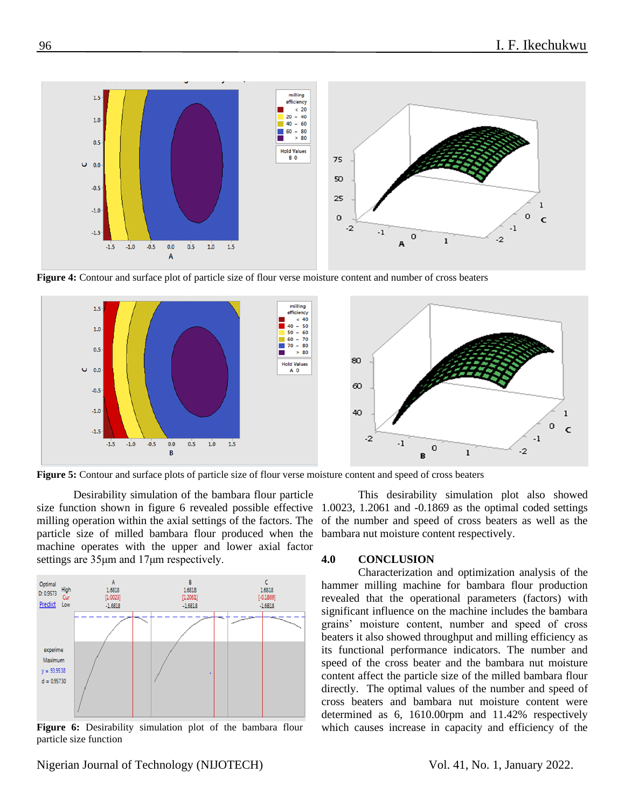

**Figure 4:** Contour and surface plot of particle size of flour verse moisture content and number of cross beaters



**Figure 5:** Contour and surface plots of particle size of flour verse moisture content and speed of cross beaters

Desirability simulation of the bambara flour particle size function shown in figure 6 revealed possible effective milling operation within the axial settings of the factors. The particle size of milled bambara flour produced when the machine operates with the upper and lower axial factor settings are 35μm and 17μm respectively.



Figure 6: Desirability simulation plot of the bambara flour particle size function

This desirability simulation plot also showed 1.0023, 1.2061 and -0.1869 as the optimal coded settings of the number and speed of cross beaters as well as the bambara nut moisture content respectively.

#### **4.0 CONCLUSION**

Characterization and optimization analysis of the hammer milling machine for bambara flour production revealed that the operational parameters (factors) with significant influence on the machine includes the bambara grains' moisture content, number and speed of cross beaters it also showed throughput and milling efficiency as its functional performance indicators. The number and speed of the cross beater and the bambara nut moisture content affect the particle size of the milled bambara flour directly. The optimal values of the number and speed of cross beaters and bambara nut moisture content were determined as 6, 1610.00rpm and 11.42% respectively which causes increase in capacity and efficiency of the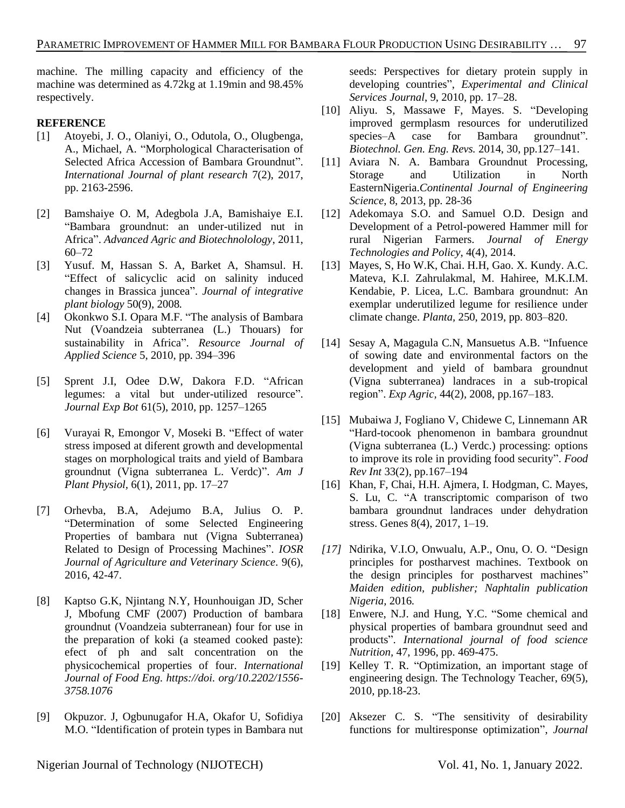machine. The milling capacity and efficiency of the machine was determined as 4.72kg at 1.19min and 98.45% respectively.

### **REFERENCE**

- <span id="page-7-0"></span>[1] Atoyebi, J. O., Olaniyi, O., Odutola, O., Olugbenga, A., Michael, A. "Morphological Characterisation of Selected Africa Accession of Bambara Groundnut". *International Journal of plant research* 7(2), 2017, pp. 2163-2596.
- <span id="page-7-1"></span>[2] Bamshaiye O. M, Adegbola J.A, Bamishaiye E.I. "Bambara groundnut: an under-utilized nut in Africa". *Advanced Agric and Biotechnolology*, 2011, 60–72
- <span id="page-7-2"></span>[3] Yusuf. M, Hassan S. A, Barket A, Shamsul. H. "Effect of salicyclic acid on salinity induced changes in Brassica juncea". *Journal of integrative plant biology* 50(9), 2008*.*
- [4] Okonkwo S.I. Opara M.F. "The analysis of Bambara Nut (Voandzeia subterranea (L.) Thouars) for sustainability in Africa". *Resource Journal of Applied Science* 5, 2010, pp. 394–396
- [5] Sprent J.I, Odee D.W, Dakora F.D. "African legumes: a vital but under-utilized resource". *Journal Exp Bot* 61(5), 2010, pp. 1257–1265
- <span id="page-7-3"></span>[6] Vurayai R, Emongor V, Moseki B. "Effect of water stress imposed at diferent growth and developmental stages on morphological traits and yield of Bambara groundnut (Vigna subterranea L. Verdc)". *Am J Plant Physiol,* 6(1), 2011, pp. 17–27
- <span id="page-7-4"></span>[7] Orhevba, B.A, Adejumo B.A, Julius O. P. "Determination of some Selected Engineering Properties of bambara nut (Vigna Subterranea) Related to Design of Processing Machines". *IOSR Journal of Agriculture and Veterinary Science.* 9(6), 2016, 42-47.
- <span id="page-7-5"></span>[8] Kaptso G.K, Njintang N.Y, Hounhouigan JD, Scher J, Mbofung CMF (2007) Production of bambara groundnut (Voandzeia subterranean) four for use in the preparation of koki (a steamed cooked paste): efect of ph and salt concentration on the physicochemical properties of four. *International Journal of Food Eng. https://doi. org/10.2202/1556- 3758.1076*
- <span id="page-7-6"></span>[9] Okpuzor. J, Ogbunugafor H.A, Okafor U, Sofidiya M.O. "Identification of protein types in Bambara nut

seeds: Perspectives for dietary protein supply in developing countries", *Experimental and Clinical Services Journal*, 9, 2010, pp. 17–28.

- [10] Aliyu. S, Massawe F, Mayes. S. "Developing improved germplasm resources for underutilized species–A case for Bambara groundnut". *Biotechnol. Gen. Eng. Revs.* 2014, 30, pp.127–141.
- [11] Aviara N. A. Bambara Groundnut Processing, Storage and Utilization in North EasternNigeria.*Continental Journal of Engineering Science*, 8, 2013, pp. 28-36
- <span id="page-7-7"></span>[12] Adekomaya S.O. and Samuel O.D. Design and Development of a Petrol-powered Hammer mill for rural Nigerian Farmers. *Journal of Energy Technologies and Policy*, 4(4), 2014.
- <span id="page-7-8"></span>[13] Mayes, S, Ho W.K, Chai. H.H, Gao. X. Kundy. A.C. Mateva, K.I. Zahrulakmal, M. Hahiree, M.K.I.M. Kendabie, P. Licea, L.C. Bambara groundnut: An exemplar underutilized legume for resilience under climate change. *Planta,* 250, 2019, pp. 803–820.
- [14] Sesay A, Magagula C.N, Mansuetus A.B. "Infuence of sowing date and environmental factors on the development and yield of bambara groundnut (Vigna subterranea) landraces in a sub-tropical region". *Exp Agric,* 44(2), 2008, pp.167–183.
- [15] Mubaiwa J, Fogliano V, Chidewe C, Linnemann AR "Hard-tocook phenomenon in bambara groundnut (Vigna subterranea (L.) Verdc.) processing: options to improve its role in providing food security". *Food Rev Int* 33(2), pp.167–194
- <span id="page-7-9"></span>[16] Khan, F, Chai, H.H. Ajmera, I. Hodgman, C. Mayes, S. Lu, C. "A transcriptomic comparison of two bambara groundnut landraces under dehydration stress. Genes 8(4), 2017, 1–19.
- <span id="page-7-10"></span>*[17]* Ndirika, V.I.O, Onwualu, A.P., Onu, O. O. "Design principles for postharvest machines. Textbook on the design principles for postharvest machines" *Maiden edition, publisher; Naphtalin publication Nigeria,* 2016*.*
- <span id="page-7-11"></span>[18] Enwere, N.J. and Hung, Y.C. "Some chemical and physical properties of bambara groundnut seed and products". *International journal of food science Nutrition,* 47, 1996, pp. 469-475.
- <span id="page-7-12"></span>[19] Kelley T. R. "Optimization, an important stage of engineering design. The Technology Teacher, 69(5), 2010, pp.18-23.
- <span id="page-7-13"></span>[20] Aksezer C. S. "The sensitivity of desirability functions for multiresponse optimization", *Journal*